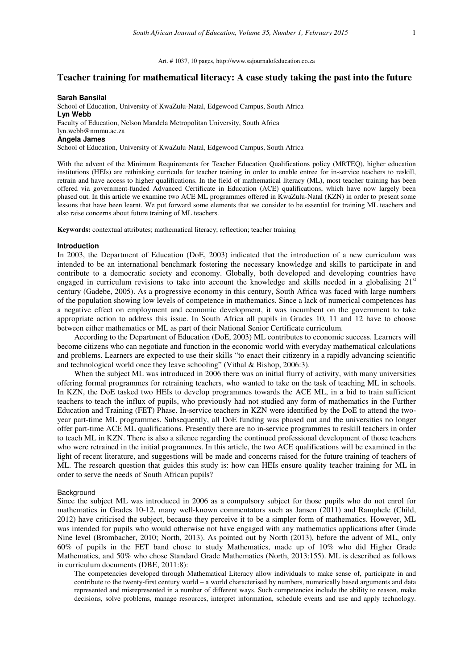# **Teacher training for mathematical literacy: A case study taking the past into the future**

## **Sarah Bansilal**

School of Education, University of KwaZulu-Natal, Edgewood Campus, South Africa **Lyn Webb**  Faculty of Education, Nelson Mandela Metropolitan University, South Africa lyn.webb@nmmu.ac.za

### **Angela James**

School of Education, University of KwaZulu-Natal, Edgewood Campus, South Africa

With the advent of the Minimum Requirements for Teacher Education Qualifications policy (MRTEQ), higher education institutions (HEIs) are rethinking curricula for teacher training in order to enable entree for in-service teachers to reskill, retrain and have access to higher qualifications. In the field of mathematical literacy (ML), most teacher training has been offered via government-funded Advanced Certificate in Education (ACE) qualifications, which have now largely been phased out. In this article we examine two ACE ML programmes offered in KwaZulu-Natal (KZN) in order to present some lessons that have been learnt. We put forward some elements that we consider to be essential for training ML teachers and also raise concerns about future training of ML teachers.

**Keywords:** contextual attributes; mathematical literacy; reflection; teacher training

#### **Introduction**

In 2003, the Department of Education (DoE, 2003) indicated that the introduction of a new curriculum was intended to be an international benchmark fostering the necessary knowledge and skills to participate in and contribute to a democratic society and economy. Globally, both developed and developing countries have engaged in curriculum revisions to take into account the knowledge and skills needed in a globalising 21<sup>st</sup> century (Gadebe, 2005). As a progressive economy in this century, South Africa was faced with large numbers of the population showing low levels of competence in mathematics. Since a lack of numerical competences has a negative effect on employment and economic development, it was incumbent on the government to take appropriate action to address this issue. In South Africa all pupils in Grades 10, 11 and 12 have to choose between either mathematics or ML as part of their National Senior Certificate curriculum.

According to the Department of Education (DoE, 2003) ML contributes to economic success. Learners will become citizens who can negotiate and function in the economic world with everyday mathematical calculations and problems. Learners are expected to use their skills "to enact their citizenry in a rapidly advancing scientific and technological world once they leave schooling" (Vithal & Bishop, 2006:3).

When the subject ML was introduced in 2006 there was an initial flurry of activity, with many universities offering formal programmes for retraining teachers, who wanted to take on the task of teaching ML in schools. In KZN, the DoE tasked two HEIs to develop programmes towards the ACE ML, in a bid to train sufficient teachers to teach the influx of pupils, who previously had not studied any form of mathematics in the Further Education and Training (FET) Phase. In-service teachers in KZN were identified by the DoE to attend the twoyear part-time ML programmes. Subsequently, all DoE funding was phased out and the universities no longer offer part-time ACE ML qualifications. Presently there are no in-service programmes to reskill teachers in order to teach ML in KZN. There is also a silence regarding the continued professional development of those teachers who were retrained in the initial programmes. In this article, the two ACE qualifications will be examined in the light of recent literature, and suggestions will be made and concerns raised for the future training of teachers of ML. The research question that guides this study is: how can HEIs ensure quality teacher training for ML in order to serve the needs of South African pupils?

## Background

Since the subject ML was introduced in 2006 as a compulsory subject for those pupils who do not enrol for mathematics in Grades 10-12, many well-known commentators such as Jansen (2011) and Ramphele (Child, 2012) have criticised the subject, because they perceive it to be a simpler form of mathematics. However, ML was intended for pupils who would otherwise not have engaged with any mathematics applications after Grade Nine level (Brombacher, 2010; North, 2013). As pointed out by North (2013), before the advent of ML, only 60% of pupils in the FET band chose to study Mathematics, made up of 10% who did Higher Grade Mathematics, and 50% who chose Standard Grade Mathematics (North, 2013:155). ML is described as follows in curriculum documents (DBE, 2011:8):

The competencies developed through Mathematical Literacy allow individuals to make sense of, participate in and contribute to the twenty-first century world – a world characterised by numbers, numerically based arguments and data represented and misrepresented in a number of different ways. Such competencies include the ability to reason, make decisions, solve problems, manage resources, interpret information, schedule events and use and apply technology.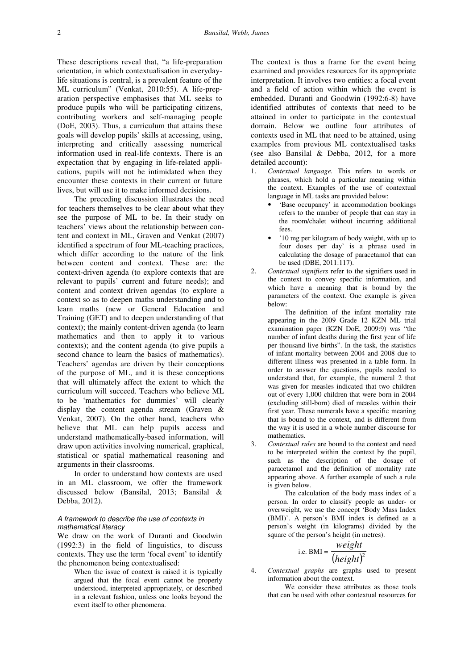These descriptions reveal that, "a life-preparation orientation, in which contextualisation in everydaylife situations is central, is a prevalent feature of the ML curriculum" (Venkat, 2010:55). A life-preparation perspective emphasises that ML seeks to produce pupils who will be participating citizens, contributing workers and self-managing people (DoE, 2003). Thus, a curriculum that attains these goals will develop pupils' skills at accessing, using, interpreting and critically assessing numerical information used in real-life contexts. There is an expectation that by engaging in life-related applications, pupils will not be intimidated when they encounter these contexts in their current or future lives, but will use it to make informed decisions.

The preceding discussion illustrates the need for teachers themselves to be clear about what they see the purpose of ML to be. In their study on teachers' views about the relationship between content and context in ML, Graven and Venkat (2007) identified a spectrum of four ML-teaching practices, which differ according to the nature of the link between content and context. These are: the context-driven agenda (to explore contexts that are relevant to pupils' current and future needs); and content and context driven agendas (to explore a context so as to deepen maths understanding and to learn maths (new or General Education and Training (GET) and to deepen understanding of that context); the mainly content-driven agenda (to learn mathematics and then to apply it to various contexts); and the content agenda (to give pupils a second chance to learn the basics of mathematics). Teachers' agendas are driven by their conceptions of the purpose of ML, and it is these conceptions that will ultimately affect the extent to which the curriculum will succeed. Teachers who believe ML to be 'mathematics for dummies' will clearly display the content agenda stream (Graven & Venkat, 2007). On the other hand, teachers who believe that ML can help pupils access and understand mathematically-based information, will draw upon activities involving numerical, graphical, statistical or spatial mathematical reasoning and arguments in their classrooms.

In order to understand how contexts are used in an ML classroom, we offer the framework discussed below (Bansilal, 2013; Bansilal & Debba, 2012).

# A framework to describe the use of contexts in mathematical literacy

We draw on the work of Duranti and Goodwin (1992:3) in the field of linguistics, to discuss contexts. They use the term 'focal event' to identify the phenomenon being contextualised:

> When the issue of context is raised it is typically argued that the focal event cannot be properly understood, interpreted appropriately, or described in a relevant fashion, unless one looks beyond the event itself to other phenomena.

The context is thus a frame for the event being examined and provides resources for its appropriate interpretation. It involves two entities: a focal event and a field of action within which the event is embedded. Duranti and Goodwin (1992:6-8) have identified attributes of contexts that need to be attained in order to participate in the contextual domain. Below we outline four attributes of contexts used in ML that need to be attained, using examples from previous ML contextualised tasks (see also Bansilal & Debba, 2012, for a more detailed account):

- 1. *Contextual language.* This refers to words or phrases, which hold a particular meaning within the context. Examples of the use of contextual language in ML tasks are provided below:
	- 'Base occupancy' in accommodation bookings refers to the number of people that can stay in the room/chalet without incurring additional fees.
	- '10 mg per kilogram of body weight, with up to four doses per day' is a phrase used in calculating the dosage of paracetamol that can be used (DBE, 2011:117).
- 2. *Contextual signifiers* refer to the signifiers used in the context to convey specific information, and which have a meaning that is bound by the parameters of the context. One example is given below:

The definition of the infant mortality rate appearing in the 2009 Grade 12 KZN ML trial examination paper (KZN DoE, 2009:9) was "the number of infant deaths during the first year of life per thousand live births". In the task, the statistics of infant mortality between 2004 and 2008 due to different illness was presented in a table form. In order to answer the questions, pupils needed to understand that, for example, the numeral 2 that was given for measles indicated that two children out of every 1,000 children that were born in 2004 (excluding still-born) died of measles within their first year. These numerals have a specific meaning that is bound to the context, and is different from the way it is used in a whole number discourse for mathematics.

3. *Contextual rules* are bound to the context and need to be interpreted within the context by the pupil, such as the description of the dosage of paracetamol and the definition of mortality rate appearing above. A further example of such a rule is given below.

The calculation of the body mass index of a person. In order to classify people as under- or overweight, we use the concept 'Body Mass Index (BMI)'. A person's BMI index is defined as a person's weight (in kilograms) divided by the square of the person's height (in metres).

i.e. 
$$
BMI = \frac{weight}{(height)^2}
$$

4. *Contextual graphs* are graphs used to present information about the context.

We consider these attributes as those tools that can be used with other contextual resources for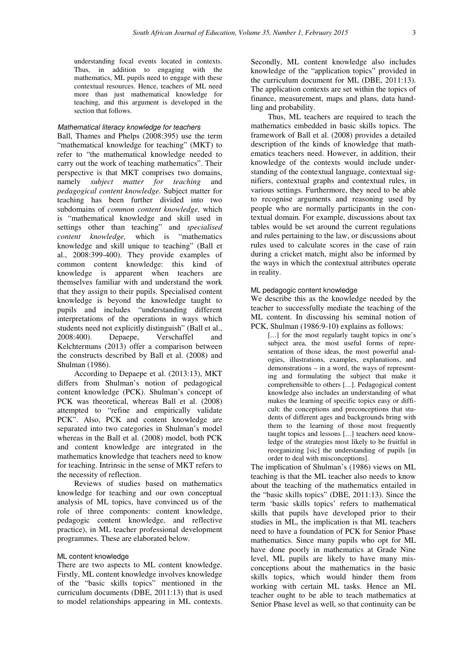understanding focal events located in contexts. Thus, in addition to engaging with the mathematics, ML pupils need to engage with these contextual resources. Hence, teachers of ML need more than just mathematical knowledge for teaching, and this argument is developed in the section that follows.

# Mathematical literacy knowledge for teachers

Ball, Thames and Phelps (2008:395) use the term "mathematical knowledge for teaching" (MKT) to refer to "the mathematical knowledge needed to carry out the work of teaching mathematics". Their perspective is that MKT comprises two domains, namely *subject matter for teaching* and *pedagogical content knowledge.* Subject matter for teaching has been further divided into two subdomains of *common content knowledge,* which is "mathematical knowledge and skill used in settings other than teaching" and *specialised content knowledge,* which is "mathematics knowledge and skill unique to teaching" (Ball et al., 2008:399-400). They provide examples of common content knowledge: this kind of knowledge is apparent when teachers are themselves familiar with and understand the work that they assign to their pupils. Specialised content knowledge is beyond the knowledge taught to pupils and includes "understanding different interpretations of the operations in ways which students need not explicitly distinguish" (Ball et al., 2008:400). Depaepe, Verschaffel and Kelchtermans (2013) offer a comparison between the constructs described by Ball et al. (2008) and Shulman (1986).

According to Depaepe et al. (2013:13), MKT differs from Shulman's notion of pedagogical content knowledge (PCK). Shulman's concept of PCK was theoretical, whereas Ball et al. (2008) attempted to "refine and empirically validate PCK". Also, PCK and content knowledge are separated into two categories in Shulman's model whereas in the Ball et al. (2008) model, both PCK and content knowledge are integrated in the mathematics knowledge that teachers need to know for teaching. Intrinsic in the sense of MKT refers to the necessity of reflection.

Reviews of studies based on mathematics knowledge for teaching and our own conceptual analysis of ML topics, have convinced us of the role of three components: content knowledge, pedagogic content knowledge, and reflective practice), in ML teacher professional development programmes. These are elaborated below.

# ML content knowledge

There are two aspects to ML content knowledge. Firstly, ML content knowledge involves knowledge of the "basic skills topics" mentioned in the curriculum documents (DBE, 2011:13) that is used to model relationships appearing in ML contexts. Secondly, ML content knowledge also includes knowledge of the "application topics" provided in the curriculum document for ML (DBE, 2011:13). The application contexts are set within the topics of finance, measurement, maps and plans, data handling and probability.

Thus, ML teachers are required to teach the mathematics embedded in basic skills topics. The framework of Ball et al. (2008) provides a detailed description of the kinds of knowledge that mathematics teachers need. However, in addition, their knowledge of the contexts would include understanding of the contextual language, contextual signifiers, contextual graphs and contextual rules, in various settings. Furthermore, they need to be able to recognise arguments and reasoning used by people who are normally participants in the contextual domain. For example, discussions about tax tables would be set around the current regulations and rules pertaining to the law, or discussions about rules used to calculate scores in the case of rain during a cricket match, might also be informed by the ways in which the contextual attributes operate in reality.

## ML pedagogic content knowledge

We describe this as the knowledge needed by the teacher to successfully mediate the teaching of the ML content. In discussing his seminal notion of PCK, Shulman (1986:9-10**)** explains as follows:

[...] for the most regularly taught topics in one's subject area, the most useful forms of representation of those ideas, the most powerful analogies, illustrations, examples, explanations, and demonstrations – in a word, the ways of representing and formulating the subject that make it comprehensible to others [*…*]. Pedagogical content knowledge also includes an understanding of what makes the learning of specific topics easy or difficult: the conceptions and preconceptions that students of different ages and backgrounds bring with them to the learning of those most frequently taught topics and lessons [*…*] teachers need knowledge of the strategies most likely to be fruitful in reorganizing [sic] the understanding of pupils [in order to deal with misconceptions].

The implication of Shulman's (1986) views on ML teaching is that the ML teacher also needs to know about the teaching of the mathematics entailed in the "basic skills topics" (DBE, 2011:13). Since the term 'basic skills topics' refers to mathematical skills that pupils have developed prior to their studies in ML, the implication is that ML teachers need to have a foundation of PCK for Senior Phase mathematics. Since many pupils who opt for ML have done poorly in mathematics at Grade Nine level, ML pupils are likely to have many misconceptions about the mathematics in the basic skills topics, which would hinder them from working with certain ML tasks. Hence an ML teacher ought to be able to teach mathematics at Senior Phase level as well, so that continuity can be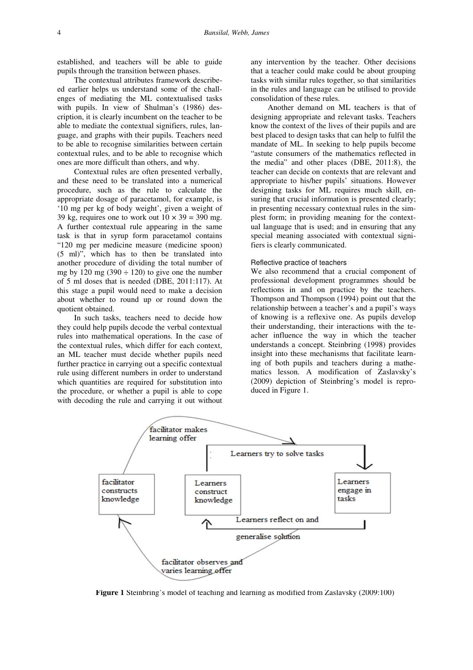established, and teachers will be able to guide pupils through the transition between phases.

The contextual attributes framework describeed earlier helps us understand some of the challenges of mediating the ML contextualised tasks with pupils. In view of Shulman's (1986) description, it is clearly incumbent on the teacher to be able to mediate the contextual signifiers, rules, language, and graphs with their pupils. Teachers need to be able to recognise similarities between certain contextual rules, and to be able to recognise which ones are more difficult than others, and why.

Contextual rules are often presented verbally, and these need to be translated into a numerical procedure, such as the rule to calculate the appropriate dosage of paracetamol, for example, is '10 mg per kg of body weight', given a weight of 39 kg, requires one to work out  $10 \times 39 = 390$  mg. A further contextual rule appearing in the same task is that in syrup form paracetamol contains "120 mg per medicine measure (medicine spoon) (5 ml)", which has to then be translated into another procedure of dividing the total number of mg by 120 mg (390  $\div$  120) to give one the number of 5 ml doses that is needed (DBE, 2011:117). At this stage a pupil would need to make a decision about whether to round up or round down the quotient obtained.

In such tasks, teachers need to decide how they could help pupils decode the verbal contextual rules into mathematical operations. In the case of the contextual rules, which differ for each context, an ML teacher must decide whether pupils need further practice in carrying out a specific contextual rule using different numbers in order to understand which quantities are required for substitution into the procedure, or whether a pupil is able to cope with decoding the rule and carrying it out without any intervention by the teacher. Other decisions that a teacher could make could be about grouping tasks with similar rules together, so that similarities in the rules and language can be utilised to provide consolidation of these rules.

Another demand on ML teachers is that of designing appropriate and relevant tasks. Teachers know the context of the lives of their pupils and are best placed to design tasks that can help to fulfil the mandate of ML. In seeking to help pupils become "astute consumers of the mathematics reflected in the media" and other places (DBE, 2011:8), the teacher can decide on contexts that are relevant and appropriate to his/her pupils' situations. However designing tasks for ML requires much skill, ensuring that crucial information is presented clearly; in presenting necessary contextual rules in the simplest form; in providing meaning for the contextual language that is used; and in ensuring that any special meaning associated with contextual signifiers is clearly communicated.

## Reflective practice of teachers

We also recommend that a crucial component of professional development programmes should be reflections in and on practice by the teachers. Thompson and Thompson (1994) point out that the relationship between a teacher's and a pupil's ways of knowing is a reflexive one. As pupils develop their understanding, their interactions with the teacher influence the way in which the teacher understands a concept. Steinbring (1998) provides insight into these mechanisms that facilitate learning of both pupils and teachers during a mathematics lesson. A modification of Zaslavsky's (2009) depiction of Steinbring's model is reproduced in Figure 1.



**Figure 1** Steinbring's model of teaching and learning as modified from Zaslavsky (2009:100)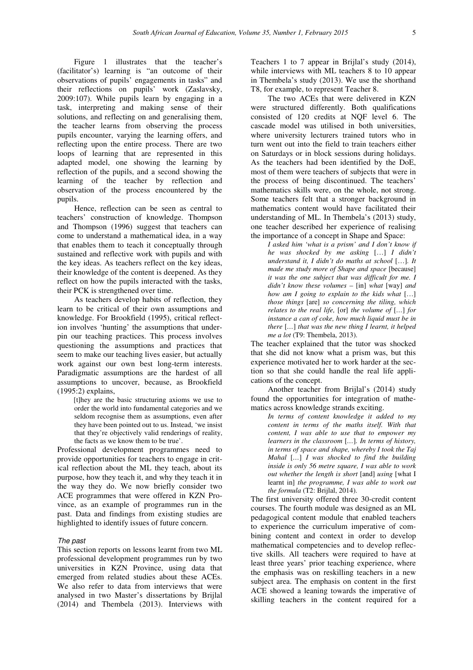Figure 1 illustrates that the teacher's (facilitator's) learning is "an outcome of their observations of pupils' engagements in tasks" and their reflections on pupils' work (Zaslavsky, 2009:107). While pupils learn by engaging in a task, interpreting and making sense of their solutions, and reflecting on and generalising them, the teacher learns from observing the process pupils encounter, varying the learning offers, and reflecting upon the entire process. There are two loops of learning that are represented in this adapted model, one showing the learning by reflection of the pupils, and a second showing the learning of the teacher by reflection and observation of the process encountered by the pupils.

Hence, reflection can be seen as central to teachers' construction of knowledge. Thompson and Thompson (1996) suggest that teachers can come to understand a mathematical idea, in a way that enables them to teach it conceptually through sustained and reflective work with pupils and with the key ideas. As teachers reflect on the key ideas, their knowledge of the content is deepened. As they reflect on how the pupils interacted with the tasks, their PCK is strengthened over time.

As teachers develop habits of reflection, they learn to be critical of their own assumptions and knowledge. For Brookfield (1995), critical reflection involves 'hunting' the assumptions that underpin our teaching practices. This process involves questioning the assumptions and practices that seem to make our teaching lives easier, but actually work against our own best long-term interests. Paradigmatic assumptions are the hardest of all assumptions to uncover, because, as Brookfield (1995:2) explains,

[t]hey are the basic structuring axioms we use to order the world into fundamental categories and we seldom recognise them as assumptions, even after they have been pointed out to us. Instead, 'we insist that they're objectively valid renderings of reality, the facts as we know them to be true'.

Professional development programmes need to provide opportunities for teachers to engage in critical reflection about the ML they teach, about its purpose, how they teach it, and why they teach it in the way they do. We now briefly consider two ACE programmes that were offered in KZN Province, as an example of programmes run in the past. Data and findings from existing studies are highlighted to identify issues of future concern.

# The past

This section reports on lessons learnt from two ML professional development programmes run by two universities in KZN Province, using data that emerged from related studies about these ACEs. We also refer to data from interviews that were analysed in two Master's dissertations by Brijlal (2014) and Thembela (2013). Interviews with Teachers 1 to 7 appear in Brijlal's study (2014), while interviews with ML teachers 8 to 10 appear in Thembela's study (2013). We use the shorthand T8, for example, to represent Teacher 8.

The two ACEs that were delivered in KZN were structured differently. Both qualifications consisted of 120 credits at NQF level 6. The cascade model was utilised in both universities, where university lecturers trained tutors who in turn went out into the field to train teachers either on Saturdays or in block sessions during holidays. As the teachers had been identified by the DoE, most of them were teachers of subjects that were in the process of being discontinued. The teachers' mathematics skills were, on the whole, not strong. Some teachers felt that a stronger background in mathematics content would have facilitated their understanding of ML. In Thembela's (2013) study, one teacher described her experience of realising the importance of a concept in Shape and Space:

*I asked him 'what is a prism' and I don't know if he was shocked by me asking* […] *I didn't understand it, I didn't do maths at school* […]*. It made me study more of Shape and space* [because] *it was the one subject that was difficult for me. I didn't know these volumes –* [in] *what* [way] *and how am I going to explain to the kids what* […] *those things* [are] *so concerning the tiling, which relates to the real life,* [or] *the volume of* [*…*] *for instance a can of coke, how much liquid must be in there* [*…*] *that was the new thing I learnt, it helped me a lot* (T9: Thembela, 2013).

The teacher explained that the tutor was shocked that she did not know what a prism was, but this experience motivated her to work harder at the section so that she could handle the real life applications of the concept.

Another teacher from Brijlal's (2014) study found the opportunities for integration of mathematics across knowledge strands exciting.

*In terms of content knowledge it added to my content in terms of the maths itself. With that content, I was able to use that to empower my learners in the classroom* [*…*]*. In terms of history, in terms of space and shape, whereby I took the Taj Mahal* [*…*] *I was shocked to find the building inside is only 56 metre square, I was able to work out whether the length is short* [and] *using* [what I learnt in] *the programme, I was able to work out the formula* (T2: Brijlal, 2014).

The first university offered three 30-credit content courses. The fourth module was designed as an ML pedagogical content module that enabled teachers to experience the curriculum imperative of combining content and context in order to develop mathematical competencies and to develop reflective skills. All teachers were required to have at least three years' prior teaching experience, where the emphasis was on reskilling teachers in a new subject area. The emphasis on content in the first ACE showed a leaning towards the imperative of skilling teachers in the content required for a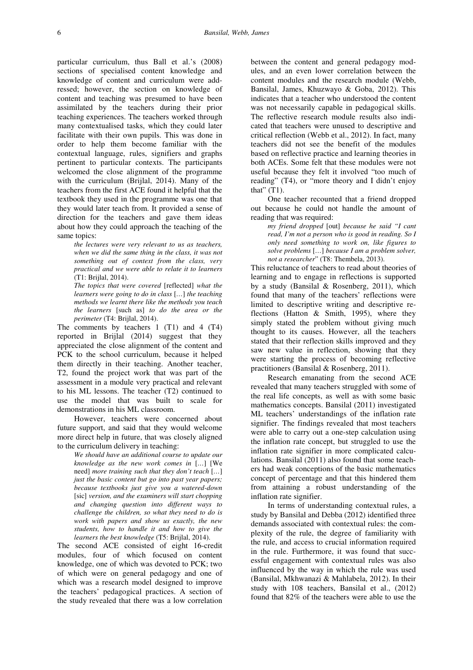particular curriculum, thus Ball et al.'s (2008) sections of specialised content knowledge and knowledge of content and curriculum were addressed; however, the section on knowledge of content and teaching was presumed to have been assimilated by the teachers during their prior teaching experiences. The teachers worked through many contextualised tasks, which they could later facilitate with their own pupils. This was done in order to help them become familiar with the contextual language, rules, signifiers and graphs pertinent to particular contexts. The participants welcomed the close alignment of the programme with the curriculum (Brijlal, 2014). Many of the teachers from the first ACE found it helpful that the textbook they used in the programme was one that they would later teach from. It provided a sense of direction for the teachers and gave them ideas about how they could approach the teaching of the same topics:

*the lectures were very relevant to us as teachers, when we did the same thing in the class, it was not something out of context from the class, very practical and we were able to relate it to learners* (T1: Brijlal, 2014).

*The topics that were covered* [reflected] *what the learners were going to do in class* [*…*] *the teaching methods we learnt there like the methods you teach the learners* [such as] *to do the area or the perimeter* (T4: Brijlal, 2014).

The comments by teachers 1 (T1) and 4 (T4) reported in Brijlal (2014) suggest that they appreciated the close alignment of the content and PCK to the school curriculum, because it helped them directly in their teaching. Another teacher, T2, found the project work that was part of the assessment in a module very practical and relevant to his ML lessons. The teacher (T2) continued to use the model that was built to scale for demonstrations in his ML classroom.

However, teachers were concerned about future support, and said that they would welcome more direct help in future, that was closely aligned to the curriculum delivery in teaching:

*We should have an additional course to update our knowledge as the new work comes in* [*…*] [We need] *more training such that they don't teach* [*…*] *just the basic content but go into past year papers; because textbooks just give you a watered-down*  [sic] *version, and the examiners will start chopping and changing question into different ways to challenge the children, so what they need to do is work with papers and show us exactly, the new students, how to handle it and how to give the learners the best knowledge* (T5: Brijlal, 2014).

The second ACE consisted of eight 16-credit modules, four of which focused on content knowledge, one of which was devoted to PCK; two of which were on general pedagogy and one of which was a research model designed to improve the teachers' pedagogical practices. A section of the study revealed that there was a low correlation between the content and general pedagogy modules, and an even lower correlation between the content modules and the research module (Webb, Bansilal, James, Khuzwayo & Goba, 2012). This indicates that a teacher who understood the content was not necessarily capable in pedagogical skills. The reflective research module results also indicated that teachers were unused to descriptive and critical reflection (Webb et al., 2012). In fact, many teachers did not see the benefit of the modules based on reflective practice and learning theories in both ACEs. Some felt that these modules were not useful because they felt it involved "too much of reading" (T4), or "more theory and I didn't enjoy that" $(T1)$ .

One teacher recounted that a friend dropped out because he could not handle the amount of reading that was required:

*my friend dropped* [out] *because he said "I cant read, I'm not a person who is good in reading. So I only need something to work on, like figures to solve problems* [*…*] *because I am a problem solver, not a researcher*" (T8: Thembela, 2013).

This reluctance of teachers to read about theories of learning and to engage in reflections is supported by a study (Bansilal & Rosenberg, 2011), which found that many of the teachers' reflections were limited to descriptive writing and descriptive reflections (Hatton & Smith, 1995), where they simply stated the problem without giving much thought to its causes. However, all the teachers stated that their reflection skills improved and they saw new value in reflection, showing that they were starting the process of becoming reflective practitioners (Bansilal & Rosenberg, 2011).

Research emanating from the second ACE revealed that many teachers struggled with some of the real life concepts, as well as with some basic mathematics concepts. Bansilal (2011) investigated ML teachers' understandings of the inflation rate signifier. The findings revealed that most teachers were able to carry out a one-step calculation using the inflation rate concept, but struggled to use the inflation rate signifier in more complicated calculations. Bansilal (2011) also found that some teachers had weak conceptions of the basic mathematics concept of percentage and that this hindered them from attaining a robust understanding of the inflation rate signifier.

In terms of understanding contextual rules, a study by Bansilal and Debba (2012) identified three demands associated with contextual rules: the complexity of the rule, the degree of familiarity with the rule, and access to crucial information required in the rule. Furthermore, it was found that successful engagement with contextual rules was also influenced by the way in which the rule was used (Bansilal, Mkhwanazi & Mahlabela, 2012). In their study with 108 teachers, Bansilal et al., (2012) found that 82% of the teachers were able to use the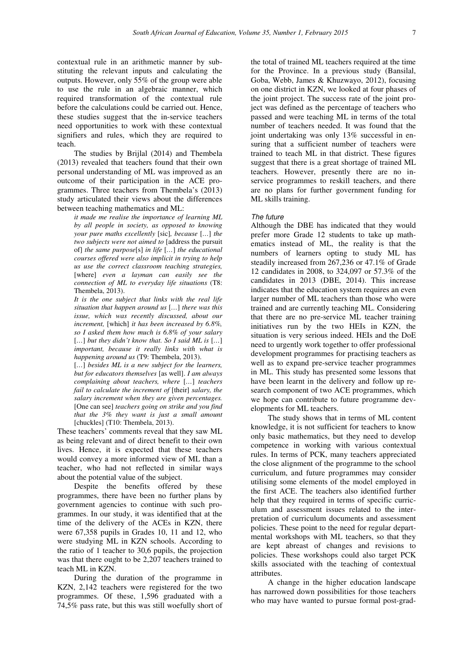contextual rule in an arithmetic manner by substituting the relevant inputs and calculating the outputs. However, only 55% of the group were able to use the rule in an algebraic manner, which required transformation of the contextual rule before the calculations could be carried out. Hence, these studies suggest that the in-service teachers need opportunities to work with these contextual signifiers and rules, which they are required to teach.

The studies by Brijlal (2014) and Thembela (2013) revealed that teachers found that their own personal understanding of ML was improved as an outcome of their participation in the ACE programmes. Three teachers from Thembela's (2013) study articulated their views about the differences between teaching mathematics and ML:

*it made me realise the importance of learning ML by all people in society, as opposed to knowing your pure maths excellently* [sic]*, because* [*…*] *the two subjects were not aimed to* [address the pursuit of] *the same purpose*[s] *in life* [*…*] *the educational courses offered were also implicit in trying to help us use the correct classroom teaching strategies,*  [where] *even a layman can easily see the connection of ML to everyday life situations* (T8: Thembela, 2013).

*It is the one subject that links with the real life situation that happen around us* [*…*] *there was this issue, which was recently discussed, about our increment,* [which] *it has been increased by 6.8%, so I asked them how much is 6.8% of your salary*  [*…*] *but they didn't know that. So I said ML is* [*…*] *important, because it really links with what is happening around us* (T9: Thembela, 2013).

[...] besides ML is a new subject for the learners, *but for educators themselves* [as well]. *I am always complaining about teachers, where* [*…*] *teachers fail to calculate the increment of* [their] *salary, the salary increment when they are given percentages.*  [One can see] *teachers going on strike and you find that the 3% they want is just a small amount* [chuckles] (T10: Thembela, 2013).

These teachers' comments reveal that they saw ML as being relevant and of direct benefit to their own lives. Hence, it is expected that these teachers would convey a more informed view of ML than a teacher, who had not reflected in similar ways about the potential value of the subject.

Despite the benefits offered by these programmes, there have been no further plans by government agencies to continue with such programmes. In our study, it was identified that at the time of the delivery of the ACEs in KZN, there were 67,358 pupils in Grades 10, 11 and 12, who were studying ML in KZN schools. According to the ratio of 1 teacher to 30,6 pupils, the projection was that there ought to be 2,207 teachers trained to teach ML in KZN.

During the duration of the programme in KZN, 2,142 teachers were registered for the two programmes. Of these, 1,596 graduated with a 74,5% pass rate, but this was still woefully short of the total of trained ML teachers required at the time for the Province. In a previous study (Bansilal, Goba, Webb, James & Khuzwayo, 2012), focusing on one district in KZN, we looked at four phases of the joint project. The success rate of the joint project was defined as the percentage of teachers who passed and were teaching ML in terms of the total number of teachers needed. It was found that the joint undertaking was only 13% successful in ensuring that a sufficient number of teachers were trained to teach ML in that district. These figures suggest that there is a great shortage of trained ML teachers. However, presently there are no inservice programmes to reskill teachers, and there are no plans for further government funding for ML skills training.

## The future

Although the DBE has indicated that they would prefer more Grade 12 students to take up mathematics instead of ML, the reality is that the numbers of learners opting to study ML has steadily increased from 267,236 or 47.1% of Grade 12 candidates in 2008, to 324,097 or 57.3% of the candidates in 2013 (DBE, 2014). This increase indicates that the education system requires an even larger number of ML teachers than those who were trained and are currently teaching ML. Considering that there are no pre-service ML teacher training initiatives run by the two HEIs in KZN, the situation is very serious indeed. HEIs and the DoE need to urgently work together to offer professional development programmes for practising teachers as well as to expand pre-service teacher programmes in ML. This study has presented some lessons that have been learnt in the delivery and follow up research component of two ACE programmes, which we hope can contribute to future programme developments for ML teachers.

The study shows that in terms of ML content knowledge, it is not sufficient for teachers to know only basic mathematics, but they need to develop competence in working with various contextual rules. In terms of PCK, many teachers appreciated the close alignment of the programme to the school curriculum, and future programmes may consider utilising some elements of the model employed in the first ACE. The teachers also identified further help that they required in terms of specific curriculum and assessment issues related to the interpretation of curriculum documents and assessment policies. These point to the need for regular departmental workshops with ML teachers, so that they are kept abreast of changes and revisions to policies. These workshops could also target PCK skills associated with the teaching of contextual attributes.

A change in the higher education landscape has narrowed down possibilities for those teachers who may have wanted to pursue formal post-grad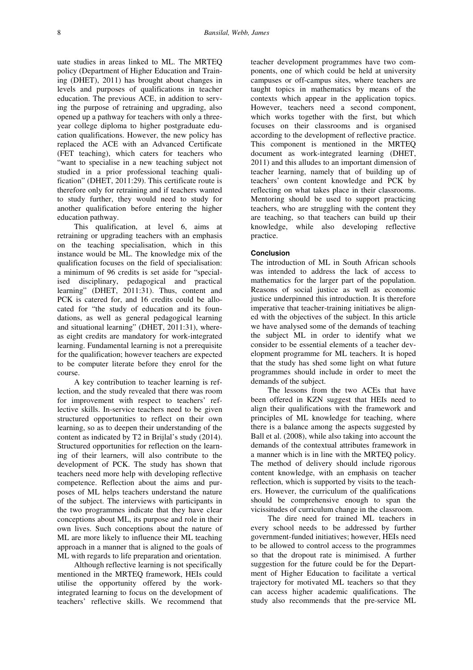uate studies in areas linked to ML. The MRTEQ policy (Department of Higher Education and Training (DHET), 2011) has brought about changes in levels and purposes of qualifications in teacher education. The previous ACE, in addition to serving the purpose of retraining and upgrading, also opened up a pathway for teachers with only a threeyear college diploma to higher postgraduate education qualifications. However, the new policy has replaced the ACE with an Advanced Certificate (FET teaching), which caters for teachers who "want to specialise in a new teaching subject not studied in a prior professional teaching qualification" (DHET, 2011:29). This certificate route is therefore only for retraining and if teachers wanted to study further, they would need to study for another qualification before entering the higher education pathway.

This qualification, at level 6, aims at retraining or upgrading teachers with an emphasis on the teaching specialisation, which in this instance would be ML. The knowledge mix of the qualification focuses on the field of specialisation: a minimum of 96 credits is set aside for "specialised disciplinary, pedagogical and practical learning" (DHET, 2011:31). Thus, content and PCK is catered for, and 16 credits could be allocated for "the study of education and its foundations, as well as general pedagogical learning and situational learning" (DHET, 2011:31), whereas eight credits are mandatory for work-integrated learning. Fundamental learning is not a prerequisite for the qualification; however teachers are expected to be computer literate before they enrol for the course.

A key contribution to teacher learning is reflection, and the study revealed that there was room for improvement with respect to teachers' reflective skills. In-service teachers need to be given structured opportunities to reflect on their own learning, so as to deepen their understanding of the content as indicated by T2 in Brijlal's study (2014). Structured opportunities for reflection on the learning of their learners, will also contribute to the development of PCK. The study has shown that teachers need more help with developing reflective competence. Reflection about the aims and purposes of ML helps teachers understand the nature of the subject. The interviews with participants in the two programmes indicate that they have clear conceptions about ML, its purpose and role in their own lives. Such conceptions about the nature of ML are more likely to influence their ML teaching approach in a manner that is aligned to the goals of ML with regards to life preparation and orientation.

Although reflective learning is not specifically mentioned in the MRTEQ framework, HEIs could utilise the opportunity offered by the workintegrated learning to focus on the development of teachers' reflective skills. We recommend that

teacher development programmes have two components, one of which could be held at university campuses or off-campus sites, where teachers are taught topics in mathematics by means of the contexts which appear in the application topics. However, teachers need a second component, which works together with the first, but which focuses on their classrooms and is organised according to the development of reflective practice. This component is mentioned in the MRTEQ document as work-integrated learning (DHET, 2011) and this alludes to an important dimension of teacher learning, namely that of building up of teachers' own content knowledge and PCK by reflecting on what takes place in their classrooms. Mentoring should be used to support practicing teachers, who are struggling with the content they are teaching, so that teachers can build up their knowledge, while also developing reflective practice.

# **Conclusion**

The introduction of ML in South African schools was intended to address the lack of access to mathematics for the larger part of the population. Reasons of social justice as well as economic justice underpinned this introduction. It is therefore imperative that teacher-training initiatives be aligned with the objectives of the subject. In this article we have analysed some of the demands of teaching the subject ML in order to identify what we consider to be essential elements of a teacher development programme for ML teachers. It is hoped that the study has shed some light on what future programmes should include in order to meet the demands of the subject.

The lessons from the two ACEs that have been offered in KZN suggest that HEIs need to align their qualifications with the framework and principles of ML knowledge for teaching, where there is a balance among the aspects suggested by Ball et al. (2008), while also taking into account the demands of the contextual attributes framework in a manner which is in line with the MRTEQ policy. The method of delivery should include rigorous content knowledge, with an emphasis on teacher reflection, which is supported by visits to the teachers. However, the curriculum of the qualifications should be comprehensive enough to span the vicissitudes of curriculum change in the classroom.

The dire need for trained ML teachers in every school needs to be addressed by further government-funded initiatives; however, HEIs need to be allowed to control access to the programmes so that the dropout rate is minimised. A further suggestion for the future could be for the Department of Higher Education to facilitate a vertical trajectory for motivated ML teachers so that they can access higher academic qualifications. The study also recommends that the pre-service ML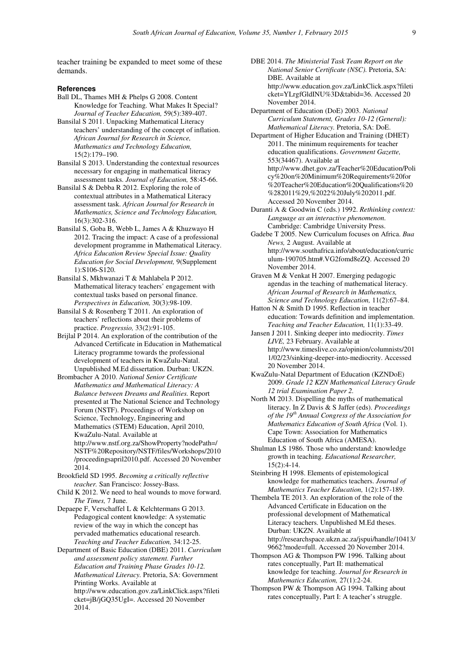teacher training be expanded to meet some of these demands.

### **References**

- Ball DL, Thames MH & Phelps G 2008. Content Knowledge for Teaching. What Makes It Special? *Journal of Teacher Education,* 59(5):389-407.
- Bansilal S 2011. Unpacking Mathematical Literacy teachers' understanding of the concept of inflation. *African Journal for Research in Science, Mathematics and Technology Education,* 15(2):179–190.
- Bansilal S 2013. Understanding the contextual resources necessary for engaging in mathematical literacy assessment tasks. *Journal of Education,* 58:45-66.
- Bansilal S & Debba R 2012. Exploring the role of contextual attributes in a Mathematical Literacy assessment task. *African Journal for Research in Mathematics, Science and Technology Education,*  16(3):302-316.
- Bansilal S, Goba B, Webb L, James A & Khuzwayo H 2012. Tracing the impact: A case of a professional development programme in Mathematical Literacy. *Africa Education Review Special Issue: Quality Education for Social Development,* 9(Supplement 1):S106-S120.
- Bansilal S, Mkhwanazi T & Mahlabela P 2012. Mathematical literacy teachers' engagement with contextual tasks based on personal finance. *Perspectives in Education,* 30(3):98-109.
- Bansilal S & Rosenberg T 2011. An exploration of teachers' reflections about their problems of practice. *Progressio,* 33(2):91-105.
- Brijlal P 2014. An exploration of the contribution of the Advanced Certificate in Education in Mathematical Literacy programme towards the professional development of teachers in KwaZulu-Natal. Unpublished M.Ed dissertation. Durban: UKZN.
- Brombacher A 2010. *National Senior Certificate Mathematics and Mathematical Literacy: A Balance between Dreams and Realities.* Report presented at The National Science and Technology Forum (NSTF). Proceedings of Workshop on Science, Technology, Engineering and Mathematics (STEM) Education, April 2010, KwaZulu-Natal. Available at http://www.nstf.org.za/ShowProperty?nodePath=/ NSTF%20Repository/NSTF/files/Workshops/2010 /proceedingsapril2010.pdf. Accessed 20 November 2014.
- Brookfield SD 1995. *Becoming a critically reflective teacher.* San Francisco: Jossey-Bass.
- Child K 2012. We need to heal wounds to move forward. *The Times,* 7 June.
- Depaepe F, Verschaffel L & Kelchtermans G 2013. Pedagogical content knowledge: A systematic review of the way in which the concept has pervaded mathematics educational research. *Teaching and Teacher Education,* 34:12-25.
- Department of Basic Education (DBE) 2011. *Curriculum and assessment policy statement. Further Education and Training Phase Grades 10-12. Mathematical Literacy.* Pretoria, SA: Government Printing Works. Available at http://www.education.gov.za/LinkClick.aspx?fileti cket=jB/jGQ35UgI=. Accessed 20 November 2014.
- DBE 2014. *The Ministerial Task Team Report on the National Senior Certificate (NSC).* Pretoria, SA: DBE. Available at http://www.education.gov.za/LinkClick.aspx?fileti cket=YLrgfGldINU%3D&tabid=36. Accessed 20 November 2014.
- Department of Education (DoE) 2003. *National Curriculum Statement, Grades 10-12 (General): Mathematical Literacy.* Pretoria, SA: DoE.
- Department of Higher Education and Training (DHET) 2011. The minimum requirements for teacher education qualifications. *Government Gazette,* 553(34467). Available at http://www.dhet.gov.za/Teacher%20Education/Poli cy%20on%20Minimum%20Requirements%20for %20Teacher%20Education%20Qualifications%20 %282011%29,%2022%20July%202011.pdf. Accessed 20 November 2014.
- Duranti A & Goodwin C (eds.) 1992. *Rethinking context: Language as an interactive phenomenon.*  Cambridge: Cambridge University Press.
- Gadebe T 2005. New Curriculum focuses on Africa. *Bua News,* 2 August. Available at http://www.southafrica.info/about/education/curric ulum-190705.htm#.VG2fomd8eZQ. Accessed 20 November 2014.
- Graven M & Venkat H 2007. Emerging pedagogic agendas in the teaching of mathematical literacy. *African Journal of Research in Mathematics, Science and Technology Education,* 11(2):67–84.
- Hatton N & Smith D 1995. Reflection in teacher education: Towards definition and implementation. *Teaching and Teacher Education,* 11(1):33-49.
- Jansen J 2011. Sinking deeper into mediocrity. *Times LIVE,* 23 February. Available at http://www.timeslive.co.za/opinion/columnists/201 1/02/23/sinking-deeper-into-mediocrity. Accessed 20 November 2014.
- KwaZulu-Natal Department of Education (KZNDoE) 2009. *Grade 12 KZN Mathematical Literacy Grade 12 trial Examination Paper 2.*
- North M 2013. Dispelling the myths of mathematical literacy. In Z Davis & S Jaffer (eds). *Proceedings of the 19th Annual Congress of the Association for Mathematics Education of South Africa* (Vol. 1). Cape Town: Association for Mathematics Education of South Africa (AMESA).
- Shulman LS 1986. Those who understand: knowledge growth in teaching. *Educational Researcher,*   $15(2):4-14.$
- Steinbring H 1998. Elements of epistemological knowledge for mathematics teachers. *Journal of Mathematics Teacher Education,* 1(2):157-189.
- Thembela TE 2013. An exploration of the role of the Advanced Certificate in Education on the professional development of Mathematical Literacy teachers. Unpublished M.Ed theses. Durban: UKZN. Available at http://researchspace.ukzn.ac.za/jspui/handle/10413/ 9662?mode=full. Accessed 20 November 2014.
- Thompson AG & Thompson PW 1996. Talking about rates conceptually, Part II: mathematical knowledge for teaching. *Journal for Research in Mathematics Education,* 27(1):2-24.
- Thompson PW & Thompson AG 1994. Talking about rates conceptually, Part I: A teacher's struggle.